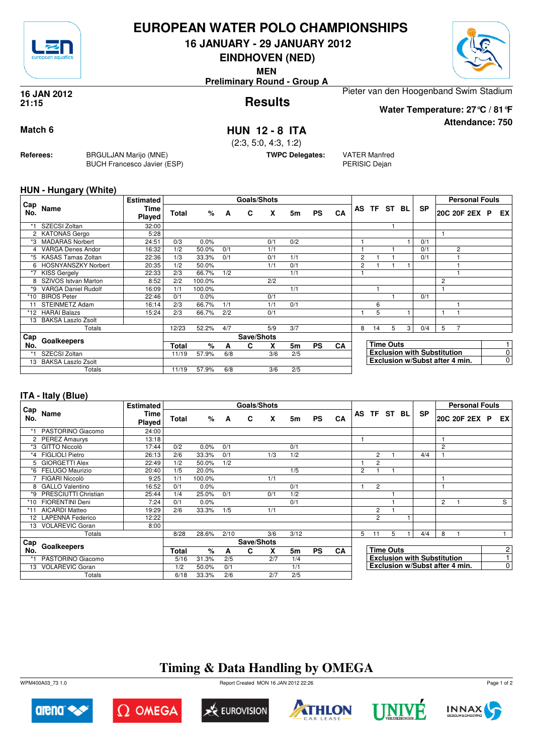

## **EUROPEAN WATER POLO CHAMPIONSHIPS**

**16 JANUARY - 29 JANUARY 2012**

**EINDHOVEN (NED)**

**MEN**

**Preliminary Round - Group A**

### **Results 16 JAN 2012 21:15**

Pieter van den Hoogenband Swim Stadium

**Water Temperature: 27°C / 81°F**

**Attendance: 750**

## **Match 6 HUN 12 - 8 ITA**

(2:3, 5:0, 4:3, 1:2)

**TWPC Delegates:** VATER Manfred

PERISIC Dejan

## **HUN - Hungary (White)**

**Referees:** BRGULJAN Marijo (MNE)

BUCH Francesco Javier (ESP)

| Cap   |                            | <b>Estimated</b> |              |        |     | <b>Goals/Shots</b> |     |     |           |           |    |    |                  |     |                                    |                | <b>Personal Fouls</b> |                |
|-------|----------------------------|------------------|--------------|--------|-----|--------------------|-----|-----|-----------|-----------|----|----|------------------|-----|------------------------------------|----------------|-----------------------|----------------|
| No.   | Name                       | Time<br>Played   | <b>Total</b> | %      | A   | C                  | X   | 5m  | <b>PS</b> | CA        | AS |    | TF ST            | BL. | <b>SP</b>                          |                | 20C 20F 2EX P         | EX             |
| *1    | SZECSI Zoltan              | 32:00            |              |        |     |                    |     |     |           |           |    |    |                  |     |                                    |                |                       |                |
|       | 2 KATONAS Gergo            | 5:28             |              |        |     |                    |     |     |           |           |    |    |                  |     |                                    |                |                       |                |
| *3    | <b>MADARAS Norbert</b>     | 24:51            | 0/3          | 0.0%   |     |                    | 0/1 | 0/2 |           |           |    |    |                  |     | 0/1                                |                |                       |                |
| 4     | <b>VARGA Denes Andor</b>   | 16:32            | 1/2          | 50.0%  | 0/1 |                    | 1/1 |     |           |           |    |    |                  |     | 0/1                                |                | 2                     |                |
| *5    | <b>KASAS Tamas Zoltan</b>  | 22:36            | 1/3          | 33.3%  | 0/1 |                    | 0/1 | 1/1 |           |           | 2  |    |                  |     | 0/1                                |                |                       |                |
|       | 6 HOSNYANSZKY Norbert      | 20:35            | 1/2          | 50.0%  |     |                    | 1/1 | 0/1 |           |           | 2  |    |                  |     |                                    |                |                       |                |
| $*7$  | <b>KISS Gergely</b>        | 22:33            | 2/3          | 66.7%  | 1/2 |                    |     | 1/1 |           |           |    |    |                  |     |                                    |                |                       |                |
|       | 8 SZIVOS Istvan Marton     | 8:52             | 2/2          | 100.0% |     |                    | 2/2 |     |           |           |    |    |                  |     |                                    | $\overline{c}$ |                       |                |
| *9    | <b>VARGA Daniel Rudolf</b> | 16:09            | 1/1          | 100.0% |     |                    |     | 1/1 |           |           |    |    |                  |     |                                    |                |                       |                |
| $*10$ | <b>BIROS Peter</b>         | 22:46            | 0/1          | 0.0%   |     |                    | 0/1 |     |           |           |    |    |                  |     | 0/1                                |                |                       |                |
| 11    | <b>STEINMETZ Adam</b>      | 16:14            | 2/3          | 66.7%  | 1/1 |                    | 1/1 | 0/1 |           |           |    | 6  |                  |     |                                    |                |                       |                |
|       | *12 HARAI Balazs           | 15:24            | 2/3          | 66.7%  | 2/2 |                    | 0/1 |     |           |           |    | 5  |                  |     |                                    |                |                       |                |
| 13    | <b>BAKSA Laszlo Zsolt</b>  |                  |              |        |     |                    |     |     |           |           |    |    |                  |     |                                    |                |                       |                |
|       | Totals                     |                  | 12/23        | 52.2%  | 4/7 |                    | 5/9 | 3/7 |           |           | 8  | 14 | 5                | 3   | 0/4                                | 5              |                       |                |
| Cap   | Goalkeepers                |                  |              |        |     | Save/Shots         |     |     |           |           |    |    |                  |     |                                    |                |                       |                |
| No.   |                            |                  | Total        | %      | A   | C                  | x   | 5m  | <b>PS</b> | <b>CA</b> |    |    | <b>Time Outs</b> |     |                                    |                |                       |                |
| *1    | SZECSI Zoltan              |                  | 11/19        | 57.9%  | 6/8 |                    | 3/6 | 2/5 |           |           |    |    |                  |     | <b>Exclusion with Substitution</b> |                |                       | 0              |
| 13    | <b>BAKSA Laszlo Zsolt</b>  |                  |              |        |     |                    |     |     |           |           |    |    |                  |     | Exclusion w/Subst after 4 min.     |                |                       | $\overline{0}$ |
|       | Totals                     |                  | 11/19        | 57.9%  | 6/8 |                    | 3/6 | 2/5 |           |           |    |    |                  |     |                                    |                |                       |                |

## **ITA - Italy (Blue)**

|            |                        | <b>Estimated</b> |              |        |      | Goals/Shots |     |      |           |           |                |                |                  |                                    |                | <b>Personal Fouls</b>          |                |
|------------|------------------------|------------------|--------------|--------|------|-------------|-----|------|-----------|-----------|----------------|----------------|------------------|------------------------------------|----------------|--------------------------------|----------------|
| Cap<br>No. | Name                   | Time<br>Played   | <b>Total</b> | %      | A    | C           | X   | 5m   | <b>PS</b> | CA        |                | AS TF ST BL    |                  | <b>SP</b>                          |                | 20C 20F 2EX P                  | EX I           |
|            | PASTORINO Giacomo      | 24:00            |              |        |      |             |     |      |           |           |                |                |                  |                                    |                |                                |                |
|            | 2 PEREZ Amaurys        | 13:18            |              |        |      |             |     |      |           |           |                |                |                  |                                    | 1              |                                |                |
| *3         | <b>GITTO Niccolò</b>   | 17:44            | 0/2          | 0.0%   | 0/1  |             |     | 0/1  |           |           |                |                |                  |                                    | 2              |                                |                |
| *4         | <b>FIGLIOLI Pietro</b> | 26:13            | 2/6          | 33.3%  | 0/1  |             | 1/3 | 1/2  |           |           |                | $\overline{2}$ |                  | 4/4                                |                |                                |                |
| 5          | <b>GIORGETTI Alex</b>  | 22:49            | 1/2          | 50.0%  | 1/2  |             |     |      |           |           |                | $\overline{2}$ |                  |                                    |                |                                |                |
| *6         | FELUGO Maurizio        | 20:40            | 1/5          | 20.0%  |      |             |     | 1/5  |           |           | $\overline{2}$ |                |                  |                                    |                |                                |                |
|            | FIGARI Niccolò         | 9:25             | 1/1          | 100.0% |      |             | 1/1 |      |           |           |                |                |                  |                                    | 1              |                                |                |
| 8          | <b>GALLO</b> Valentino | 16:52            | 0/1          | 0.0%   |      |             |     | 0/1  |           |           |                | $\overline{2}$ |                  |                                    | $\mathbf{1}$   |                                |                |
| *9         | PRESCIUTTI Christian   | 25:44            | 1/4          | 25.0%  | 0/1  |             | 0/1 | 1/2  |           |           |                |                |                  |                                    |                |                                |                |
| *10        | <b>FIORENTINI Deni</b> | 7:24             | 0/1          | 0.0%   |      |             |     | 0/1  |           |           |                |                |                  |                                    | $\overline{2}$ |                                | S              |
| $*11$      | AICARDI Matteo         | 19:29            | 2/6          | 33.3%  | 1/5  |             | 1/1 |      |           |           |                | 2              |                  |                                    |                |                                |                |
|            | 12 LAPENNA Federico    | 12:22            |              |        |      |             |     |      |           |           |                | $\overline{2}$ |                  |                                    |                |                                |                |
| 13         | <b>VOLAREVIC Goran</b> | 8:00             |              |        |      |             |     |      |           |           |                |                |                  |                                    |                |                                |                |
|            | Totals                 |                  | 8/28         | 28.6%  | 2/10 |             | 3/6 | 3/12 |           |           | 5              | 11             | 5                | 4/4                                | 8              |                                |                |
| Cap        |                        |                  |              |        |      | Save/Shots  |     |      |           |           |                |                |                  |                                    |                |                                |                |
| No.        | Goalkeepers            |                  | <b>Total</b> | $\%$   | A    | C           | X   | 5m   | <b>PS</b> | <b>CA</b> |                |                | <b>Time Outs</b> |                                    |                |                                | 2 <sup>1</sup> |
|            | PASTORINO Giacomo      |                  | 5/16         | 31.3%  | 2/5  |             | 2/7 | 1/4  |           |           |                |                |                  | <b>Exclusion with Substitution</b> |                |                                | 1              |
|            | 13 VOLAREVIC Goran     |                  | 1/2          | 50.0%  | 0/1  |             |     | 1/1  |           |           |                |                |                  |                                    |                | Exclusion w/Subst after 4 min. | $\overline{0}$ |
|            | Totals                 |                  | 6/18         | 33.3%  | 2/6  |             | 2/7 | 2/5  |           |           |                |                |                  |                                    |                |                                |                |

# **Timing & Data Handling by OMEGA**

WPM400A03\_73 1.0 Report Created MON 16 JAN 2012 22:26